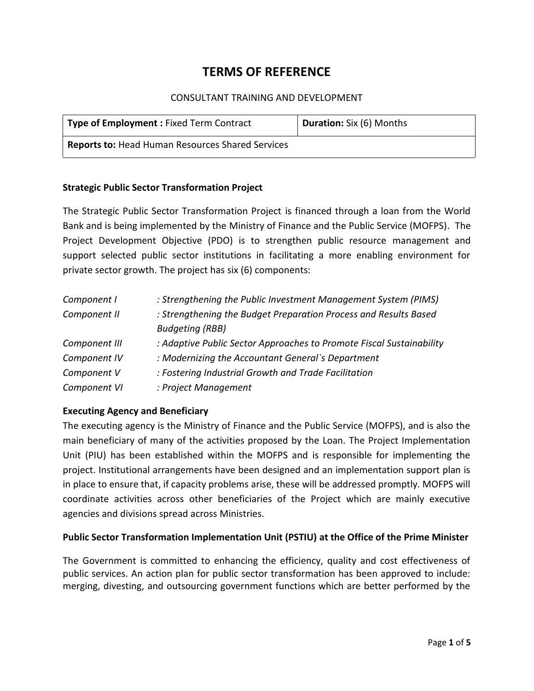# **TERMS OF REFERENCE**

#### CONSULTANT TRAINING AND DEVELOPMENT

| <b>Type of Employment: Fixed Term Contract</b>          | Duration: Six (6) Months |
|---------------------------------------------------------|--------------------------|
| <b>Reports to: Head Human Resources Shared Services</b> |                          |

#### **Strategic Public Sector Transformation Project**

The Strategic Public Sector Transformation Project is financed through a loan from the World Bank and is being implemented by the Ministry of Finance and the Public Service (MOFPS). The Project Development Objective (PDO) is to strengthen public resource management and support selected public sector institutions in facilitating a more enabling environment for private sector growth. The project has six (6) components:

| Component I   | : Strengthening the Public Investment Management System (PIMS)       |  |
|---------------|----------------------------------------------------------------------|--|
| Component II  | : Strengthening the Budget Preparation Process and Results Based     |  |
|               | <b>Budgeting (RBB)</b>                                               |  |
| Component III | : Adaptive Public Sector Approaches to Promote Fiscal Sustainability |  |
| Component IV  | : Modernizing the Accountant General's Department                    |  |
| Component V   | : Fostering Industrial Growth and Trade Facilitation                 |  |
| Component VI  | : Project Management                                                 |  |

#### **Executing Agency and Beneficiary**

The executing agency is the Ministry of Finance and the Public Service (MOFPS), and is also the main beneficiary of many of the activities proposed by the Loan. The Project Implementation Unit (PIU) has been established within the MOFPS and is responsible for implementing the project. Institutional arrangements have been designed and an implementation support plan is in place to ensure that, if capacity problems arise, these will be addressed promptly. MOFPS will coordinate activities across other beneficiaries of the Project which are mainly executive agencies and divisions spread across Ministries.

#### **Public Sector Transformation Implementation Unit (PSTIU) at the Office of the Prime Minister**

The Government is committed to enhancing the efficiency, quality and cost effectiveness of public services. An action plan for public sector transformation has been approved to include: merging, divesting, and outsourcing government functions which are better performed by the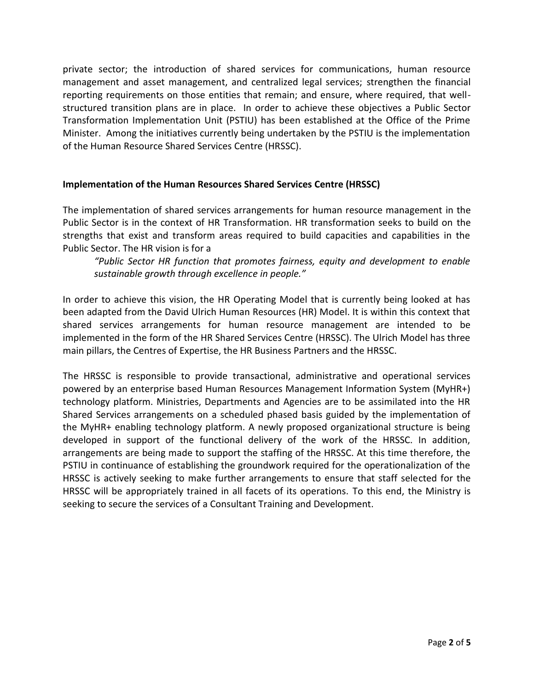private sector; the introduction of shared services for communications, human resource management and asset management, and centralized legal services; strengthen the financial reporting requirements on those entities that remain; and ensure, where required, that well structured transition plans are in place. In order to achieve these objectives a Public Sector Transformation Implementation Unit (PSTIU) has been established at the Office of the Prime Minister. Among the initiatives currently being undertaken by the PSTIU is the implementation of the Human Resource Shared Services Centre (HRSSC).

#### **Implementation of the Human Resources Shared Services Centre (HRSSC)**

The implementation of shared services arrangements for human resource management in the Public Sector is in the context of HR Transformation. HR transformation seeks to build on the strengths that exist and transform areas required to build capacities and capabilities in the Public Sector. The HR vision is for a

*"Public Sector HR function that promotes fairness, equity and development to enable sustainable growth through excellence in people."*

In order to achieve this vision, the HR Operating Model that is currently being looked at has been adapted from the David Ulrich Human Resources (HR) Model. It is within this context that shared services arrangements for human resource management are intended to be implemented in the form of the HR Shared Services Centre (HRSSC). The Ulrich Model has three main pillars, the Centres of Expertise, the HR Business Partners and the HRSSC.

The HRSSC is responsible to provide transactional, administrative and operational services powered by an enterprise based Human Resources Management Information System (MyHR+) technology platform. Ministries, Departments and Agencies are to be assimilated into the HR Shared Services arrangements on a scheduled phased basis guided by the implementation of the MyHR+ enabling technology platform. A newly proposed organizational structure is being developed in support of the functional delivery of the work of the HRSSC. In addition, arrangements are being made to support the staffing of the HRSSC. At this time therefore, the PSTIU in continuance of establishing the groundwork required for the operationalization of the HRSSC is actively seeking to make further arrangements to ensure that staff selected for the HRSSC will be appropriately trained in all facets of its operations. To this end, the Ministry is seeking to secure the services of a Consultant Training and Development.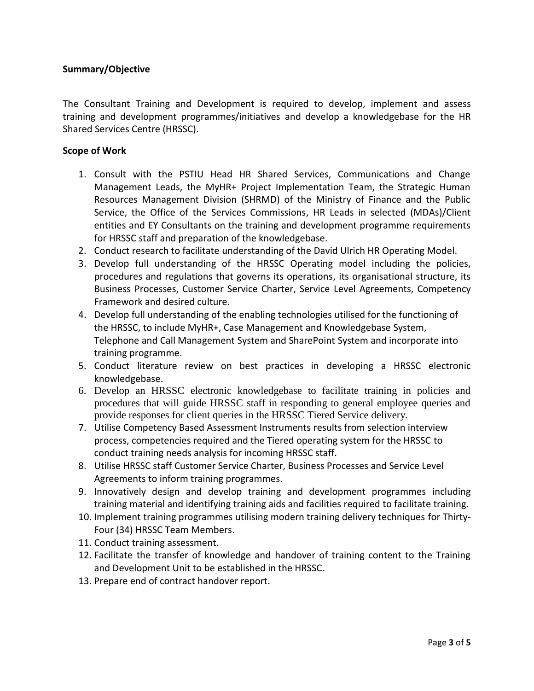#### **Summary/Objective**

The Consultant Training and Development is required to develop, implement and assess training and development programmes/initiatives and develop a knowledgebase for the HR Shared Services Centre (HRSSC).

#### **Scope of Work**

- 1. Consult with the PSTIU Head HR Shared Services, Communications and Change Management Leads, the MyHR+ Project Implementation Team, the Strategic Human Resources Management Division (SHRMD) of the Ministry of Finance and the Public Service, the Office of the Services Commissions, HR Leads in selected (MDAs)/Client entities and EY Consultants on the training and development programme requirements for HRSSC staff and preparation of the knowledgebase.
- 2. Conduct research to facilitate understanding of the David Ulrich HR Operating Model.
- 3. Develop full understanding of the HRSSC Operating model including the policies, procedures and regulations that governs its operations, its organisational structure, its Business Processes, Customer Service Charter, Service Level Agreements, Competency Framework and desired culture.
- 4. Develop full understanding of the enabling technologies utilised for the functioning of the HRSSC, to include MyHR+, Case Management and Knowledgebase System, Telephone and Call Management System and SharePoint System and incorporate into training programme.
- 5. Conduct literature review on best practices in developing a HRSSC electronic knowledgebase.
- 6. Develop an HRSSC electronic knowledgebase to facilitate training in policies and procedures that will guide HRSSC staff in responding to general employee queries and provide responses for client queries in the HRSSC Tiered Service delivery.
- 7. Utilise Competency Based Assessment Instruments results from selection interview process, competencies required and the Tiered operating system for the HRSSC to conduct training needs analysis for incoming HRSSC staff.
- 8. Utilise HRSSC staff Customer Service Charter, Business Processes and Service Level Agreements to inform training programmes.
- 9. Innovatively design and develop training and development programmes including training material and identifying training aids and facilities required to facilitate training.
- 10. Implement training programmes utilising modern training delivery techniques for Thirty- Four (34) HRSSC Team Members.
- 11. Conduct training assessment.
- 12. Facilitate the transfer of knowledge and handover of training content to the Training and Development Unit to be established in the HRSSC.
- 13. Prepare end of contract handover report.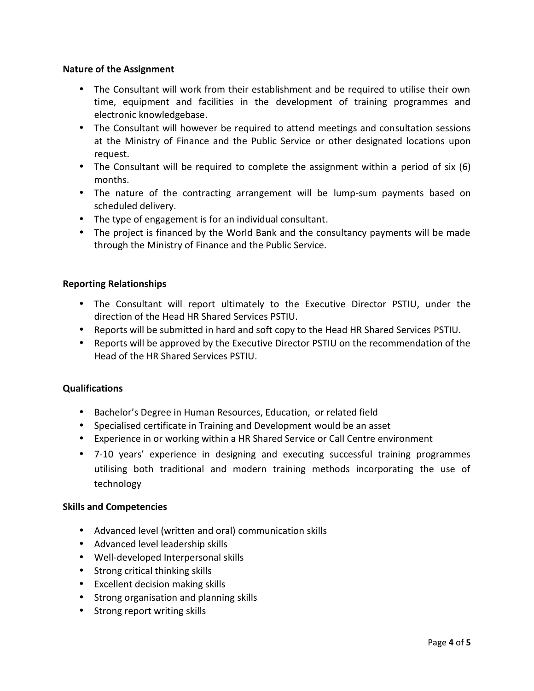#### **Nature of the Assignment**

- The Consultant will work from their establishment and be required to utilise their own time, equipment and facilities in the development of training programmes and electronic knowledgebase.
- The Consultant will however be required to attend meetings and consultation sessions at the Ministry of Finance and the Public Service or other designated locations upon request.
- The Consultant will be required to complete the assignment within a period of six (6) months.
- The nature of the contracting arrangement will be lump-sum payments based on scheduled delivery.
- The type of engagement is for an individual consultant.
- The project is financed by the World Bank and the consultancy payments will be made through the Ministry of Finance and the Public Service.

### **Reporting Relationships**

- The Consultant will report ultimately to the Executive Director PSTIU, under the direction of the Head HR Shared Services PSTIU.
- Reports will be submitted in hard and soft copy to the Head HR Shared Services PSTIU.
- Reports will be approved by the Executive Director PSTIU on the recommendation of the Head of the HR Shared Services PSTIU.

#### **Qualifications**

- Bachelor's Degree in Human Resources, Education, or related field
- Specialised certificate in Training and Development would be an asset
- Experience in or working within a HR Shared Service or Call Centre environment
- 7-10 years' experience in designing and executing successful training programmes utilising both traditional and modern training methods incorporating the use of technology

#### **Skills and Competencies**

- Advanced level (written and oral) communication skills
- Advanced level leadership skills
- Well-developed Interpersonal skills
- Strong critical thinking skills
- Excellent decision making skills
- Strong organisation and planning skills
- Strong report writing skills